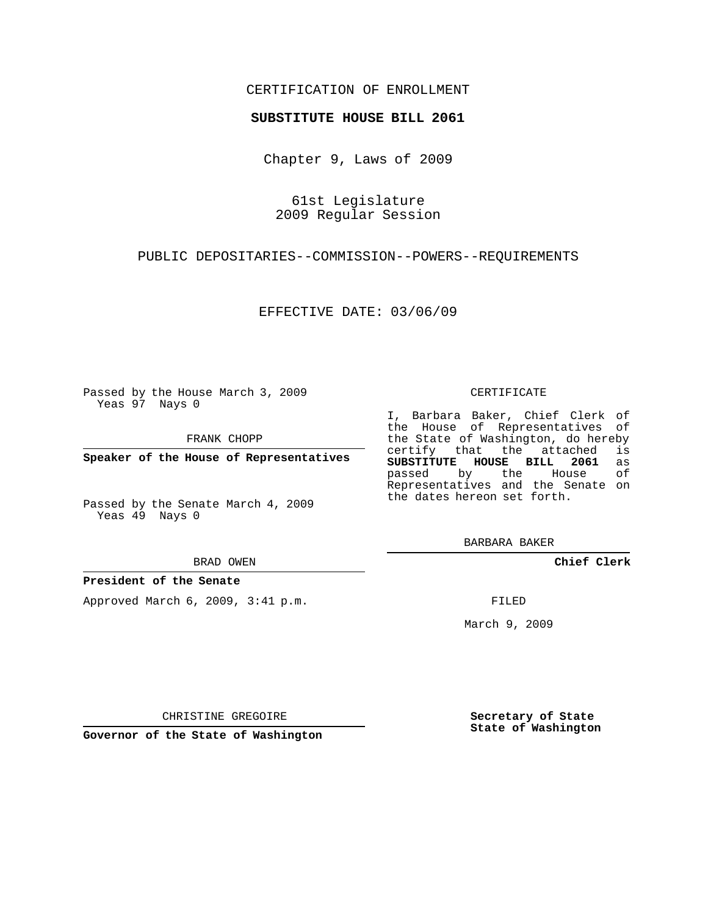## CERTIFICATION OF ENROLLMENT

### **SUBSTITUTE HOUSE BILL 2061**

Chapter 9, Laws of 2009

61st Legislature 2009 Regular Session

PUBLIC DEPOSITARIES--COMMISSION--POWERS--REQUIREMENTS

EFFECTIVE DATE: 03/06/09

Passed by the House March 3, 2009 Yeas 97 Nays 0

FRANK CHOPP

**Speaker of the House of Representatives**

Yeas 49 Nays 0

BRAD OWEN

### **President of the Senate**

Approved March 6, 2009, 3:41 p.m.

#### CERTIFICATE

I, Barbara Baker, Chief Clerk of the House of Representatives of the State of Washington, do hereby<br>certify that the attached is certify that the attached **SUBSTITUTE HOUSE BILL 2061** as passed by the Representatives and the Senate on the dates hereon set forth.

BARBARA BAKER

**Chief Clerk**

FILED

March 9, 2009

**Secretary of State State of Washington**

CHRISTINE GREGOIRE

**Governor of the State of Washington**

Passed by the Senate March 4, 2009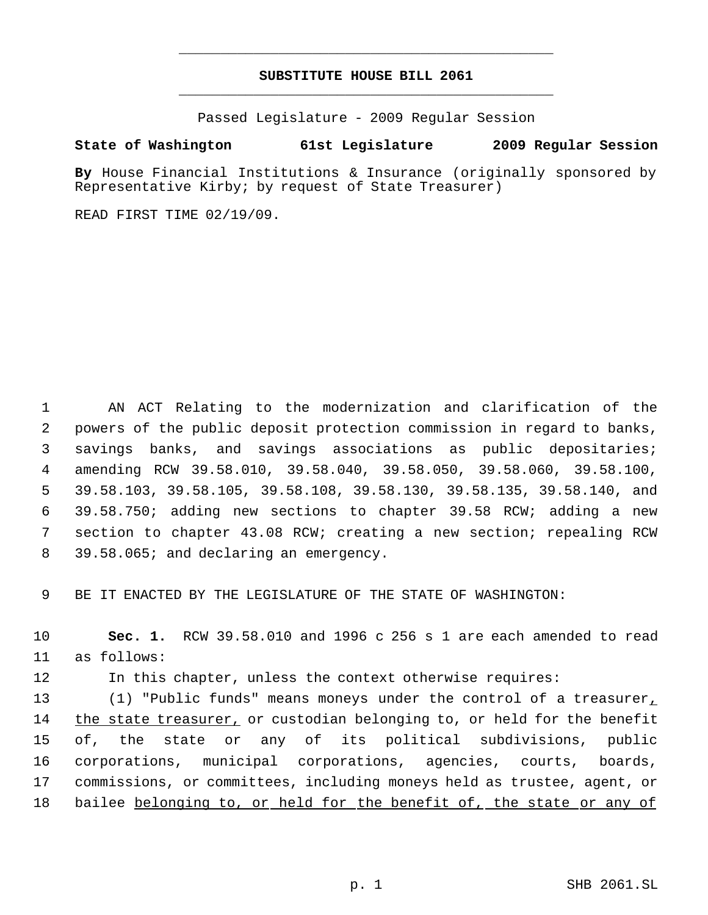# **SUBSTITUTE HOUSE BILL 2061** \_\_\_\_\_\_\_\_\_\_\_\_\_\_\_\_\_\_\_\_\_\_\_\_\_\_\_\_\_\_\_\_\_\_\_\_\_\_\_\_\_\_\_\_\_

\_\_\_\_\_\_\_\_\_\_\_\_\_\_\_\_\_\_\_\_\_\_\_\_\_\_\_\_\_\_\_\_\_\_\_\_\_\_\_\_\_\_\_\_\_

Passed Legislature - 2009 Regular Session

## **State of Washington 61st Legislature 2009 Regular Session**

**By** House Financial Institutions & Insurance (originally sponsored by Representative Kirby; by request of State Treasurer)

READ FIRST TIME 02/19/09.

 AN ACT Relating to the modernization and clarification of the powers of the public deposit protection commission in regard to banks, savings banks, and savings associations as public depositaries; amending RCW 39.58.010, 39.58.040, 39.58.050, 39.58.060, 39.58.100, 39.58.103, 39.58.105, 39.58.108, 39.58.130, 39.58.135, 39.58.140, and 39.58.750; adding new sections to chapter 39.58 RCW; adding a new section to chapter 43.08 RCW; creating a new section; repealing RCW 39.58.065; and declaring an emergency.

9 BE IT ENACTED BY THE LEGISLATURE OF THE STATE OF WASHINGTON:

10 **Sec. 1.** RCW 39.58.010 and 1996 c 256 s 1 are each amended to read 11 as follows:

12 In this chapter, unless the context otherwise requires:

13 (1) "Public funds" means moneys under the control of a treasurer, 14 the state treasurer, or custodian belonging to, or held for the benefit 15 of, the state or any of its political subdivisions, public 16 corporations, municipal corporations, agencies, courts, boards, 17 commissions, or committees, including moneys held as trustee, agent, or 18 bailee belonging to, or held for the benefit of, the state or any of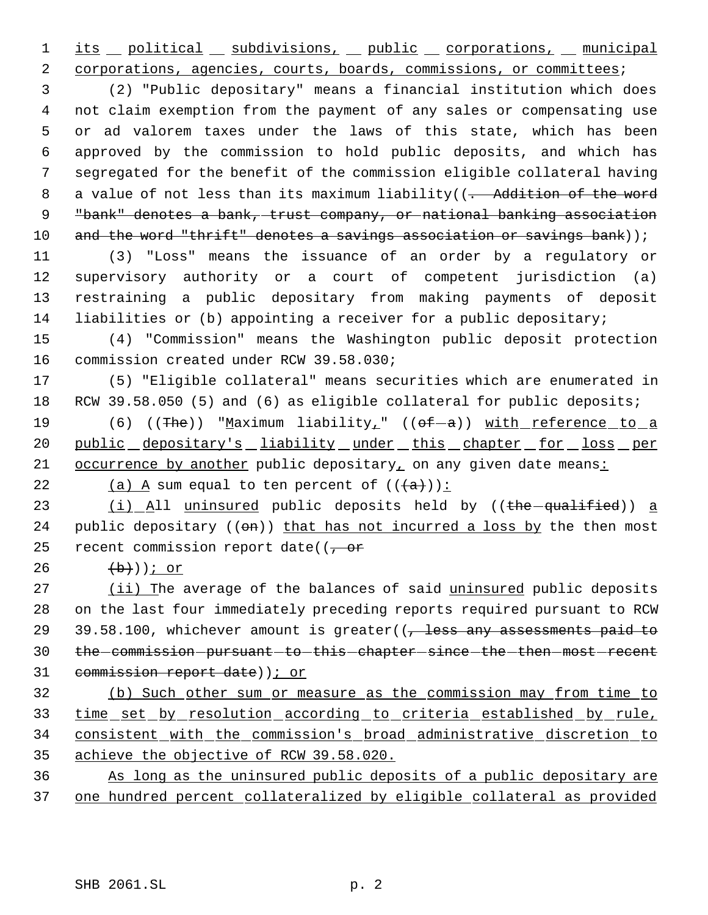1 its political subdivisions, public corporations, municipal 2 corporations, agencies, courts, boards, commissions, or committees;

 (2) "Public depositary" means a financial institution which does not claim exemption from the payment of any sales or compensating use or ad valorem taxes under the laws of this state, which has been approved by the commission to hold public deposits, and which has segregated for the benefit of the commission eligible collateral having 8 a value of not less than its maximum liability((- Addition of the word "bank" denotes a bank, trust company, or national banking association 10 and the word "thrift" denotes a savings association or savings bank));

 (3) "Loss" means the issuance of an order by a regulatory or supervisory authority or a court of competent jurisdiction (a) restraining a public depositary from making payments of deposit liabilities or (b) appointing a receiver for a public depositary;

15 (4) "Commission" means the Washington public deposit protection 16 commission created under RCW 39.58.030;

17 (5) "Eligible collateral" means securities which are enumerated in 18 RCW 39.58.050 (5) and (6) as eligible collateral for public deposits;

19 (6) ((The)) "Maximum liability<sub>1</sub>" ((of-a)) with reference to a 20 public depositary's liability under this chapter for loss per 21 occurrence by another public depositary, on any given date means:

22 (a)  $A$  sum equal to ten percent of  $((+a))$ :

23 (i) All uninsured public deposits held by ((the qualified)) a 24 public depositary  $((\Theta n))$  that has not incurred a loss by the then most 25 recent commission report date( $(-$ or

26  $(b)$ ))  $\frac{1}{c}$  or

27 (ii) The average of the balances of said uninsured public deposits 28 on the last four immediately preceding reports required pursuant to RCW 29 39.58.100, whichever amount is greater( $\sqrt{ }$  less any assessments paid to 30 the commission - pursuant - to - this - chapter - since - the - then - most - recent 31 commission report date)); or

 (b) Such other sum or measure as the commission may from time to time set by resolution according to criteria established by rule, consistent with the commission's broad administrative discretion to achieve the objective of RCW 39.58.020.

36 As long as the uninsured public deposits of a public depositary are 37 one hundred percent collateralized by eligible collateral as provided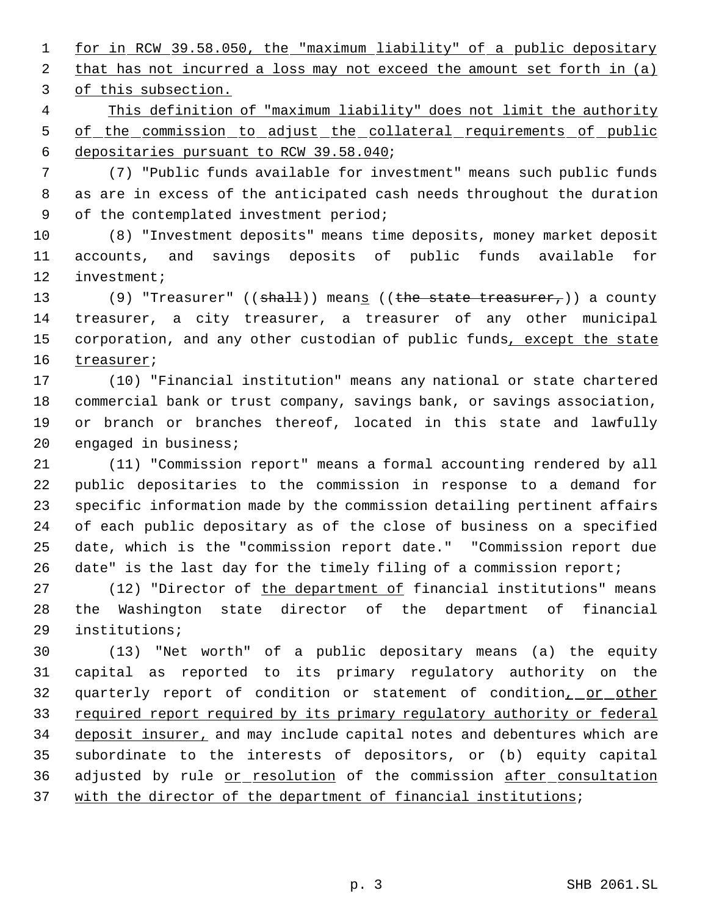for in RCW 39.58.050, the "maximum liability" of a public depositary 2 that has not incurred a loss may not exceed the amount set forth in (a) of this subsection.

 This definition of "maximum liability" does not limit the authority 5 of the commission to adjust the collateral requirements of public depositaries pursuant to RCW 39.58.040;

 (7) "Public funds available for investment" means such public funds as are in excess of the anticipated cash needs throughout the duration of the contemplated investment period;

 (8) "Investment deposits" means time deposits, money market deposit accounts, and savings deposits of public funds available for investment;

13 (9) "Treasurer" ((shall)) means ((the state treasurer,)) a county treasurer, a city treasurer, a treasurer of any other municipal 15 corporation, and any other custodian of public funds, except the state treasurer;

 (10) "Financial institution" means any national or state chartered commercial bank or trust company, savings bank, or savings association, or branch or branches thereof, located in this state and lawfully engaged in business;

 (11) "Commission report" means a formal accounting rendered by all public depositaries to the commission in response to a demand for specific information made by the commission detailing pertinent affairs of each public depositary as of the close of business on a specified date, which is the "commission report date." "Commission report due date" is the last day for the timely filing of a commission report;

27 (12) "Director of the department of financial institutions" means the Washington state director of the department of financial institutions;

 (13) "Net worth" of a public depositary means (a) the equity capital as reported to its primary regulatory authority on the 32 quarterly report of condition or statement of condition, or other required report required by its primary regulatory authority or federal 34 deposit insurer, and may include capital notes and debentures which are subordinate to the interests of depositors, or (b) equity capital 36 adjusted by rule or resolution of the commission after consultation 37 with the director of the department of financial institutions;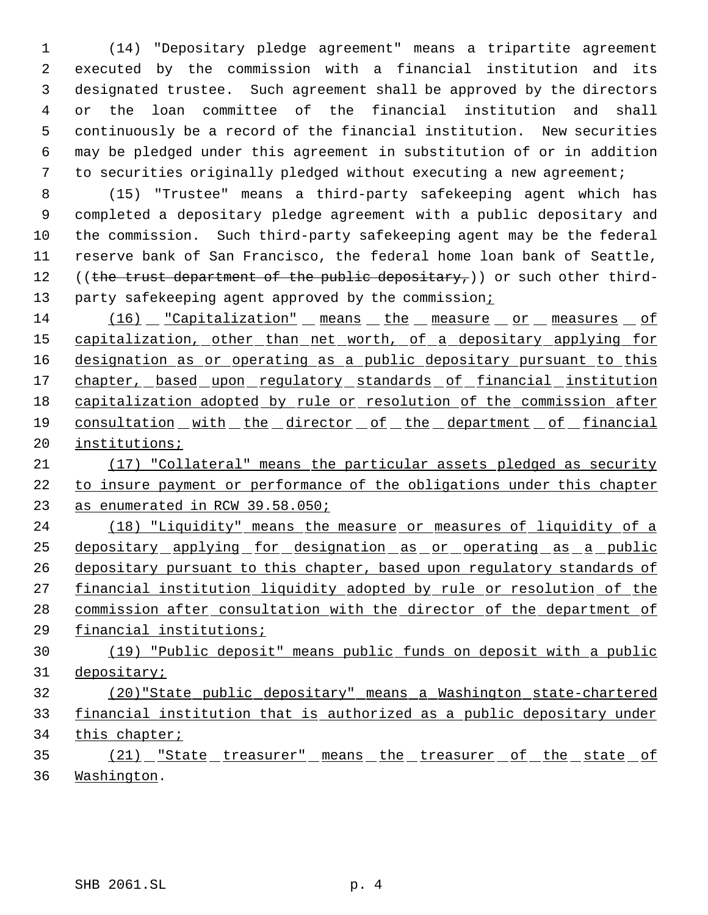(14) "Depositary pledge agreement" means a tripartite agreement executed by the commission with a financial institution and its designated trustee. Such agreement shall be approved by the directors or the loan committee of the financial institution and shall continuously be a record of the financial institution. New securities may be pledged under this agreement in substitution of or in addition to securities originally pledged without executing a new agreement;

 (15) "Trustee" means a third-party safekeeping agent which has completed a depositary pledge agreement with a public depositary and the commission. Such third-party safekeeping agent may be the federal reserve bank of San Francisco, the federal home loan bank of Seattle, 12 ((the trust department of the public depositary,)) or such other third-13 party safekeeping agent approved by the commission;

14 (16) "Capitalization" means the measure or measures of 15 capitalization, other than net worth, of a depositary applying for 16 designation as or operating as a public depositary pursuant to this 17 chapter, based upon regulatory standards of financial institution capitalization adopted by rule or resolution of the commission after 19 consultation with the director of the department of financial institutions;

 (17) "Collateral" means the particular assets pledged as security to insure payment or performance of the obligations under this chapter as enumerated in RCW 39.58.050;

 (18) "Liquidity" means the measure or measures of liquidity of a depositary applying for designation as or operating as a public 26 depositary pursuant to this chapter, based upon regulatory standards of 27 financial institution liquidity adopted by rule or resolution of the commission after consultation with the director of the department of financial institutions;

 (19) "Public deposit" means public funds on deposit with a public depositary;

 (20)"State public depositary" means a Washington state-chartered financial institution that is authorized as a public depositary under this chapter;

35 (21) "State treasurer" means the treasurer of the state of Washington.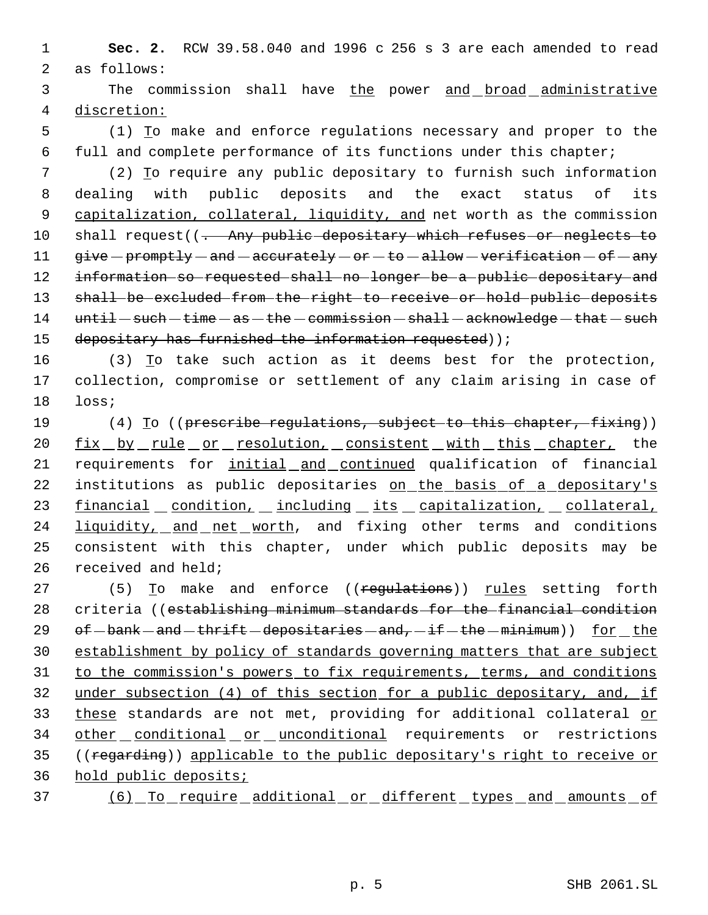1 **Sec. 2.** RCW 39.58.040 and 1996 c 256 s 3 are each amended to read 2 as follows:

3 The commission shall have the power and broad administrative 4 discretion:

 5 (1) To make and enforce regulations necessary and proper to the 6 full and complete performance of its functions under this chapter;

 7 (2) To require any public depositary to furnish such information 8 dealing with public deposits and the exact status of its 9 capitalization, collateral, liquidity, and net worth as the commission 10 shall request((- Any public depositary which refuses or neglects to 11 give - promptly - and - accurately - or - to - allow - verification - of - any 12 information so requested shall no longer be a public depositary and 13 shall be excluded from the right to receive or hold public deposits  $14$  until  $-$  such  $-$  time  $-$  as  $-$  the  $-$  commission  $-$  shall  $-$  acknowledge  $-$  that  $-$  such 15 depositary has furnished the information requested));

16 (3) To take such action as it deems best for the protection, 17 collection, compromise or settlement of any claim arising in case of 18 loss;

19 (4) To ((prescribe regulations, subject to this chapter, fixing)) 20 fix by rule or resolution, consistent with this chapter, the 21 requirements for initial and continued qualification of financial 22 institutions as public depositaries on the basis of a depositary's 23 financial condition, including its capitalization, collateral, 24 liquidity, and net worth, and fixing other terms and conditions 25 consistent with this chapter, under which public deposits may be 26 received and held;

27 (5) To make and enforce ((regulations)) rules setting forth 28 criteria ((establishing minimum standards for the financial condition 29 of  $-bank - and -$ thrift  $-depositaries - and, -if -$ the  $-minimum)$  for the 30 establishment by policy of standards governing matters that are subject 31 to the commission's powers to fix requirements, terms, and conditions 32 under subsection (4) of this section for a public depositary, and, if 33 these standards are not met, providing for additional collateral or 34 other conditional or unconditional requirements or restrictions 35 ((regarding)) applicable to the public depositary's right to receive or 36 hold public deposits;

37 (6) To require additional or different types and amounts of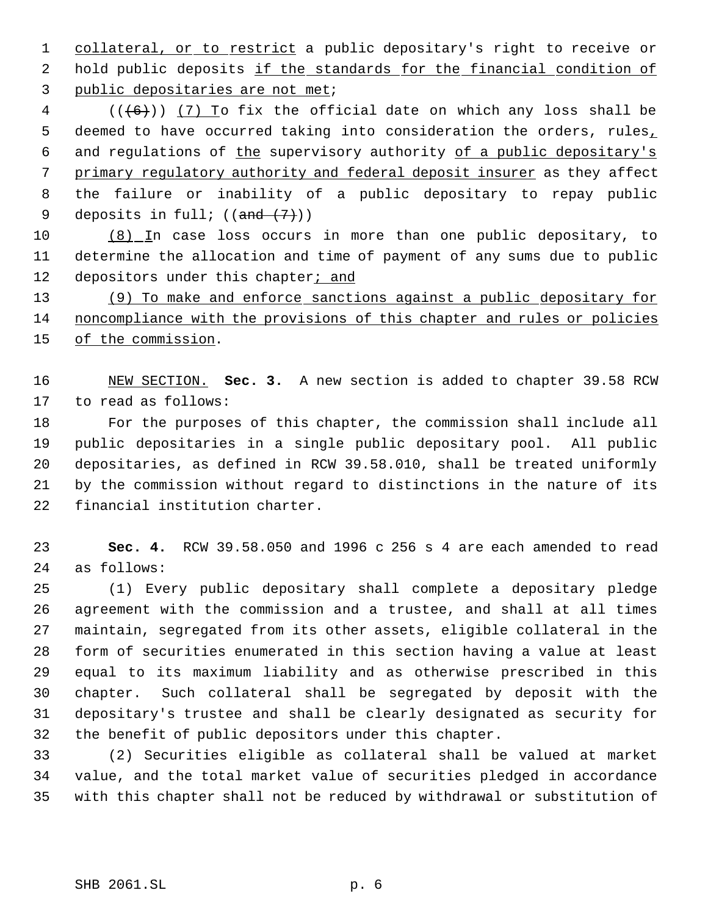1 collateral, or to restrict a public depositary's right to receive or 2 hold public deposits if the standards for the financial condition of public depositaries are not met;

 (( $\left(\frac{6}{6}\right)$ ) (7) To fix the official date on which any loss shall be 5 deemed to have occurred taking into consideration the orders, rules, 6 and regulations of the supervisory authority of a public depositary's 7 primary regulatory authority and federal deposit insurer as they affect the failure or inability of a public depositary to repay public 9 deposits in full;  $((and (7))$ 

 (8) In case loss occurs in more than one public depositary, to determine the allocation and time of payment of any sums due to public 12 depositors under this chapter<sub>j</sub> and

 (9) To make and enforce sanctions against a public depositary for noncompliance with the provisions of this chapter and rules or policies 15 of the commission.

 NEW SECTION. **Sec. 3.** A new section is added to chapter 39.58 RCW to read as follows:

 For the purposes of this chapter, the commission shall include all public depositaries in a single public depositary pool. All public depositaries, as defined in RCW 39.58.010, shall be treated uniformly by the commission without regard to distinctions in the nature of its financial institution charter.

 **Sec. 4.** RCW 39.58.050 and 1996 c 256 s 4 are each amended to read as follows:

 (1) Every public depositary shall complete a depositary pledge agreement with the commission and a trustee, and shall at all times maintain, segregated from its other assets, eligible collateral in the form of securities enumerated in this section having a value at least equal to its maximum liability and as otherwise prescribed in this chapter. Such collateral shall be segregated by deposit with the depositary's trustee and shall be clearly designated as security for the benefit of public depositors under this chapter.

 (2) Securities eligible as collateral shall be valued at market value, and the total market value of securities pledged in accordance with this chapter shall not be reduced by withdrawal or substitution of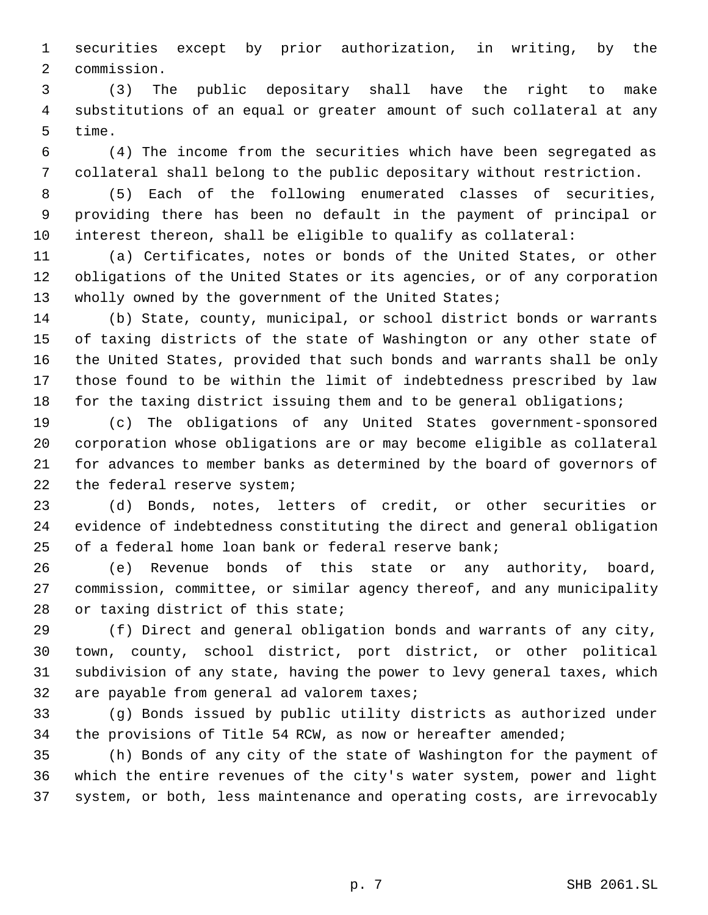securities except by prior authorization, in writing, by the commission.

 (3) The public depositary shall have the right to make substitutions of an equal or greater amount of such collateral at any time.

 (4) The income from the securities which have been segregated as collateral shall belong to the public depositary without restriction.

 (5) Each of the following enumerated classes of securities, providing there has been no default in the payment of principal or interest thereon, shall be eligible to qualify as collateral:

 (a) Certificates, notes or bonds of the United States, or other obligations of the United States or its agencies, or of any corporation 13 wholly owned by the government of the United States;

 (b) State, county, municipal, or school district bonds or warrants of taxing districts of the state of Washington or any other state of the United States, provided that such bonds and warrants shall be only those found to be within the limit of indebtedness prescribed by law for the taxing district issuing them and to be general obligations;

 (c) The obligations of any United States government-sponsored corporation whose obligations are or may become eligible as collateral for advances to member banks as determined by the board of governors of the federal reserve system;

 (d) Bonds, notes, letters of credit, or other securities or evidence of indebtedness constituting the direct and general obligation of a federal home loan bank or federal reserve bank;

 (e) Revenue bonds of this state or any authority, board, commission, committee, or similar agency thereof, and any municipality or taxing district of this state;

 (f) Direct and general obligation bonds and warrants of any city, town, county, school district, port district, or other political subdivision of any state, having the power to levy general taxes, which are payable from general ad valorem taxes;

 (g) Bonds issued by public utility districts as authorized under the provisions of Title 54 RCW, as now or hereafter amended;

 (h) Bonds of any city of the state of Washington for the payment of which the entire revenues of the city's water system, power and light system, or both, less maintenance and operating costs, are irrevocably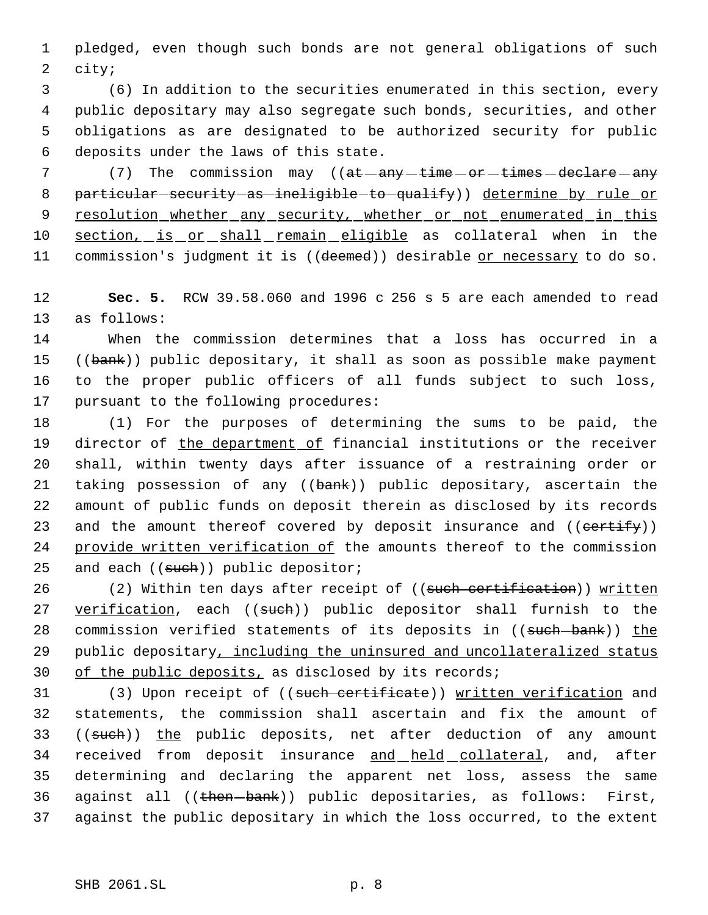1 pledged, even though such bonds are not general obligations of such 2 city;

 (6) In addition to the securities enumerated in this section, every public depositary may also segregate such bonds, securities, and other obligations as are designated to be authorized security for public deposits under the laws of this state.

7 (7) The commission may ((at any time or times declare any 8 particular-security-as-ineligible-to-qualify)) determine by rule or 9 resolution whether any security, whether or not enumerated in this 10 section, is or shall remain eligible as collateral when in the 11 commission's judgment it is ((deemed)) desirable or necessary to do so.

12 **Sec. 5.** RCW 39.58.060 and 1996 c 256 s 5 are each amended to read 13 as follows:

 When the commission determines that a loss has occurred in a 15 ((bank)) public depositary, it shall as soon as possible make payment to the proper public officers of all funds subject to such loss, pursuant to the following procedures:

18 (1) For the purposes of determining the sums to be paid, the 19 director of the department of financial institutions or the receiver 20 shall, within twenty days after issuance of a restraining order or 21 taking possession of any ((bank)) public depositary, ascertain the 22 amount of public funds on deposit therein as disclosed by its records 23 and the amount thereof covered by deposit insurance and ((certify)) 24 provide written verification of the amounts thereof to the commission 25 and each ((such)) public depositor;

26 (2) Within ten days after receipt of ((such certification)) written 27 verification, each ((such)) public depositor shall furnish to the 28 commission verified statements of its deposits in ((such-bank)) the 29 public depositary, including the uninsured and uncollateralized status 30 of the public deposits, as disclosed by its records;

31 (3) Upon receipt of ((such certificate)) written verification and 32 statements, the commission shall ascertain and fix the amount of 33 ((such)) the public deposits, net after deduction of any amount 34 received from deposit insurance and held collateral, and, after 35 determining and declaring the apparent net loss, assess the same 36 against all ((then-bank)) public depositaries, as follows: First, 37 against the public depositary in which the loss occurred, to the extent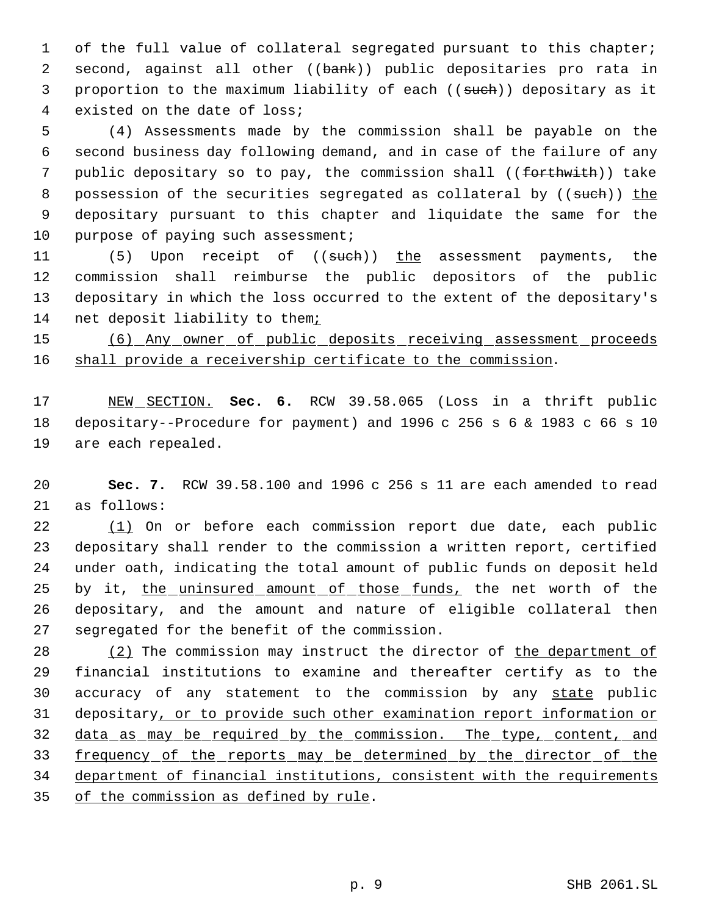of the full value of collateral segregated pursuant to this chapter; 2 second, against all other ((bank)) public depositaries pro rata in 3 proportion to the maximum liability of each ((such)) depositary as it existed on the date of loss;

 (4) Assessments made by the commission shall be payable on the second business day following demand, and in case of the failure of any 7 public depositary so to pay, the commission shall ((forthwith)) take 8 possession of the securities segregated as collateral by ((such)) the depositary pursuant to this chapter and liquidate the same for the 10 purpose of paying such assessment;

11 (5) Upon receipt of ((such)) the assessment payments, the commission shall reimburse the public depositors of the public depositary in which the loss occurred to the extent of the depositary's net deposit liability to them;

 (6) Any owner of public deposits receiving assessment proceeds 16 shall provide a receivership certificate to the commission.

 NEW SECTION. **Sec. 6.** RCW 39.58.065 (Loss in a thrift public depositary--Procedure for payment) and 1996 c 256 s 6 & 1983 c 66 s 10 are each repealed.

 **Sec. 7.** RCW 39.58.100 and 1996 c 256 s 11 are each amended to read as follows:

 (1) On or before each commission report due date, each public depositary shall render to the commission a written report, certified under oath, indicating the total amount of public funds on deposit held 25 by it, the uninsured amount of those funds, the net worth of the depositary, and the amount and nature of eligible collateral then segregated for the benefit of the commission.

28 (2) The commission may instruct the director of the department of financial institutions to examine and thereafter certify as to the 30 accuracy of any statement to the commission by any state public depositary, or to provide such other examination report information or 32 data as may be required by the commission. The type, content, and 33 frequency of the reports may be determined by the director of the department of financial institutions, consistent with the requirements 35 of the commission as defined by rule.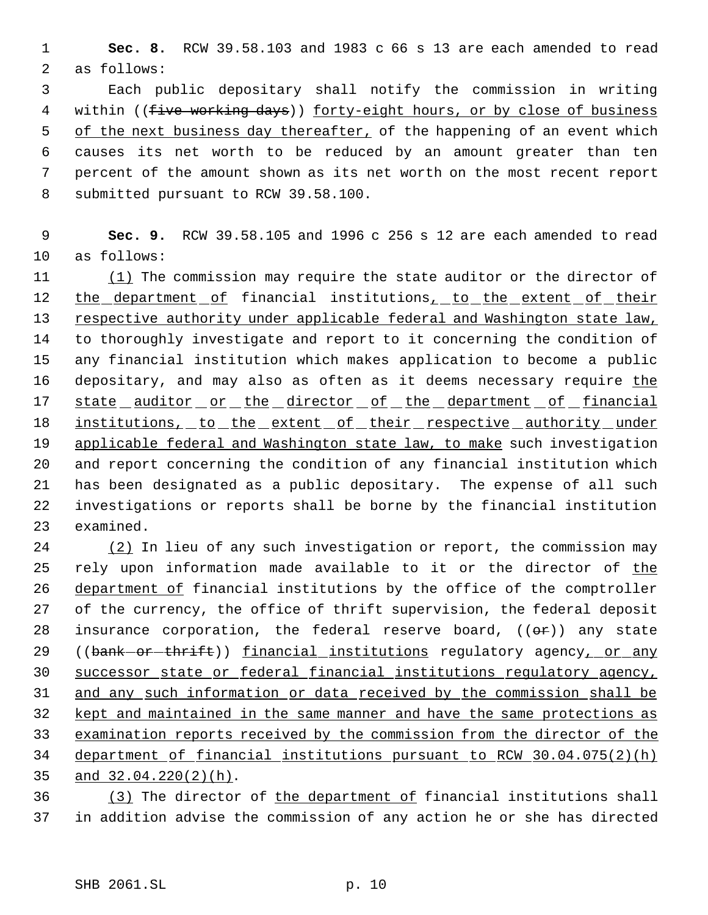**Sec. 8.** RCW 39.58.103 and 1983 c 66 s 13 are each amended to read as follows:

 Each public depositary shall notify the commission in writing 4 within ((five working days)) forty-eight hours, or by close of business 5 of the next business day thereafter, of the happening of an event which causes its net worth to be reduced by an amount greater than ten percent of the amount shown as its net worth on the most recent report submitted pursuant to RCW 39.58.100.

 **Sec. 9.** RCW 39.58.105 and 1996 c 256 s 12 are each amended to read as follows:

11 (1) The commission may require the state auditor or the director of 12 the department of financial institutions, to the extent of their respective authority under applicable federal and Washington state law, to thoroughly investigate and report to it concerning the condition of any financial institution which makes application to become a public 16 depositary, and may also as often as it deems necessary require the 17 state auditor or the director of the department of financial 18 institutions, to the extent of their respective authority under 19 applicable federal and Washington state law, to make such investigation and report concerning the condition of any financial institution which has been designated as a public depositary. The expense of all such investigations or reports shall be borne by the financial institution examined.

 (2) In lieu of any such investigation or report, the commission may 25 rely upon information made available to it or the director of the 26 department of financial institutions by the office of the comptroller of the currency, the office of thrift supervision, the federal deposit 28 insurance corporation, the federal reserve board,  $((\theta \cdot \hat{r}))$  any state 29 ((bank-or-thrift)) financial institutions regulatory agency, or any successor state or federal financial institutions regulatory agency, and any such information or data received by the commission shall be kept and maintained in the same manner and have the same protections as examination reports received by the commission from the director of the department of financial institutions pursuant to RCW 30.04.075(2)(h) and 32.04.220(2)(h).

36 (3) The director of the department of financial institutions shall in addition advise the commission of any action he or she has directed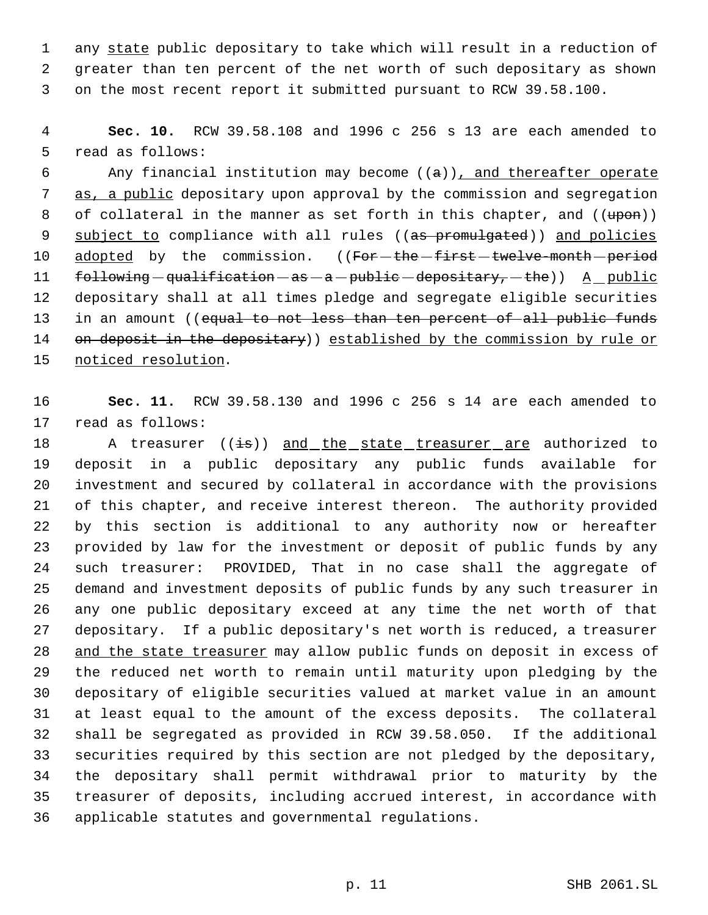1 any state public depositary to take which will result in a reduction of greater than ten percent of the net worth of such depositary as shown on the most recent report it submitted pursuant to RCW 39.58.100.

 **Sec. 10.** RCW 39.58.108 and 1996 c 256 s 13 are each amended to read as follows:

6 Any financial institution may become  $((a))$ , and thereafter operate 7 as, a public depositary upon approval by the commission and segregation 8 of collateral in the manner as set forth in this chapter, and  $((\text{upon}))$ 9 subject to compliance with all rules ((as promulgated)) and policies 10 adopted by the commission. ((For-the-first-twelve-month-period  $f_{\text{od-lowing}} -$ qualification  $-\text{as} - \text{a} - \text{public} -$ depositary,  $-\text{the}$ )) A public depositary shall at all times pledge and segregate eligible securities 13 in an amount ((equal to not less than ten percent of all public funds 14 on deposit in the depositary)) established by the commission by rule or noticed resolution.

 **Sec. 11.** RCW 39.58.130 and 1996 c 256 s 14 are each amended to read as follows:

18 A treasurer ((is)) and the state treasurer are authorized to deposit in a public depositary any public funds available for investment and secured by collateral in accordance with the provisions of this chapter, and receive interest thereon. The authority provided by this section is additional to any authority now or hereafter provided by law for the investment or deposit of public funds by any such treasurer: PROVIDED, That in no case shall the aggregate of demand and investment deposits of public funds by any such treasurer in any one public depositary exceed at any time the net worth of that depositary. If a public depositary's net worth is reduced, a treasurer 28 and the state treasurer may allow public funds on deposit in excess of the reduced net worth to remain until maturity upon pledging by the depositary of eligible securities valued at market value in an amount at least equal to the amount of the excess deposits. The collateral shall be segregated as provided in RCW 39.58.050. If the additional securities required by this section are not pledged by the depositary, the depositary shall permit withdrawal prior to maturity by the treasurer of deposits, including accrued interest, in accordance with applicable statutes and governmental regulations.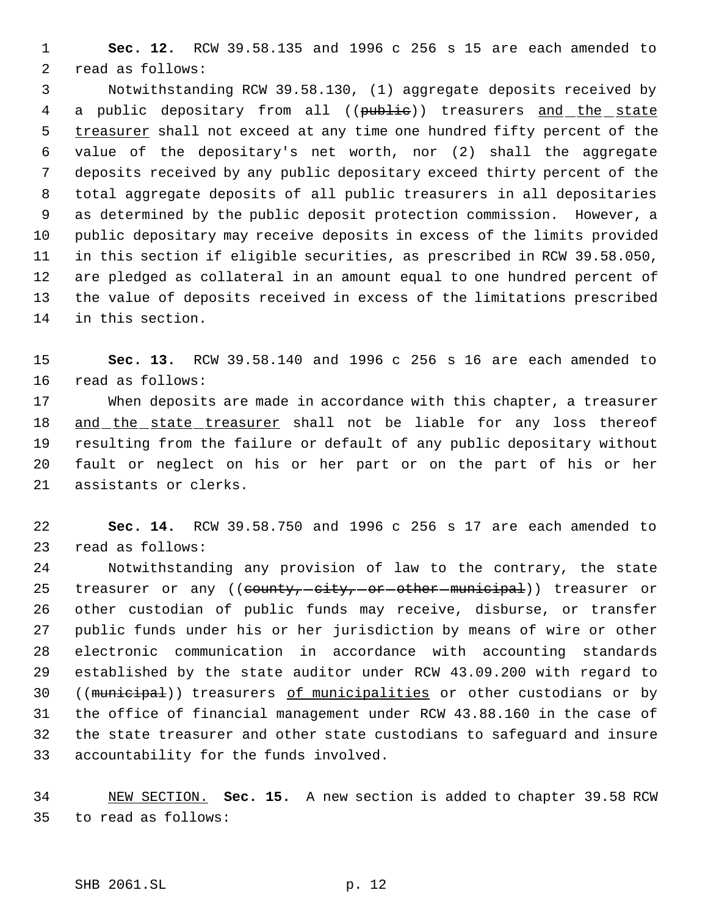**Sec. 12.** RCW 39.58.135 and 1996 c 256 s 15 are each amended to read as follows:

 Notwithstanding RCW 39.58.130, (1) aggregate deposits received by 4 a public depositary from all ((public)) treasurers and the state 5 treasurer shall not exceed at any time one hundred fifty percent of the value of the depositary's net worth, nor (2) shall the aggregate deposits received by any public depositary exceed thirty percent of the total aggregate deposits of all public treasurers in all depositaries as determined by the public deposit protection commission. However, a public depositary may receive deposits in excess of the limits provided in this section if eligible securities, as prescribed in RCW 39.58.050, are pledged as collateral in an amount equal to one hundred percent of the value of deposits received in excess of the limitations prescribed in this section.

 **Sec. 13.** RCW 39.58.140 and 1996 c 256 s 16 are each amended to read as follows:

 When deposits are made in accordance with this chapter, a treasurer 18 and the state treasurer shall not be liable for any loss thereof resulting from the failure or default of any public depositary without fault or neglect on his or her part or on the part of his or her assistants or clerks.

 **Sec. 14.** RCW 39.58.750 and 1996 c 256 s 17 are each amended to read as follows:

 Notwithstanding any provision of law to the contrary, the state 25 treasurer or any ((county, -city, -or -other -municipal)) treasurer or other custodian of public funds may receive, disburse, or transfer public funds under his or her jurisdiction by means of wire or other electronic communication in accordance with accounting standards established by the state auditor under RCW 43.09.200 with regard to 30 ((municipal)) treasurers of municipalities or other custodians or by the office of financial management under RCW 43.88.160 in the case of the state treasurer and other state custodians to safeguard and insure accountability for the funds involved.

 NEW SECTION. **Sec. 15.** A new section is added to chapter 39.58 RCW to read as follows: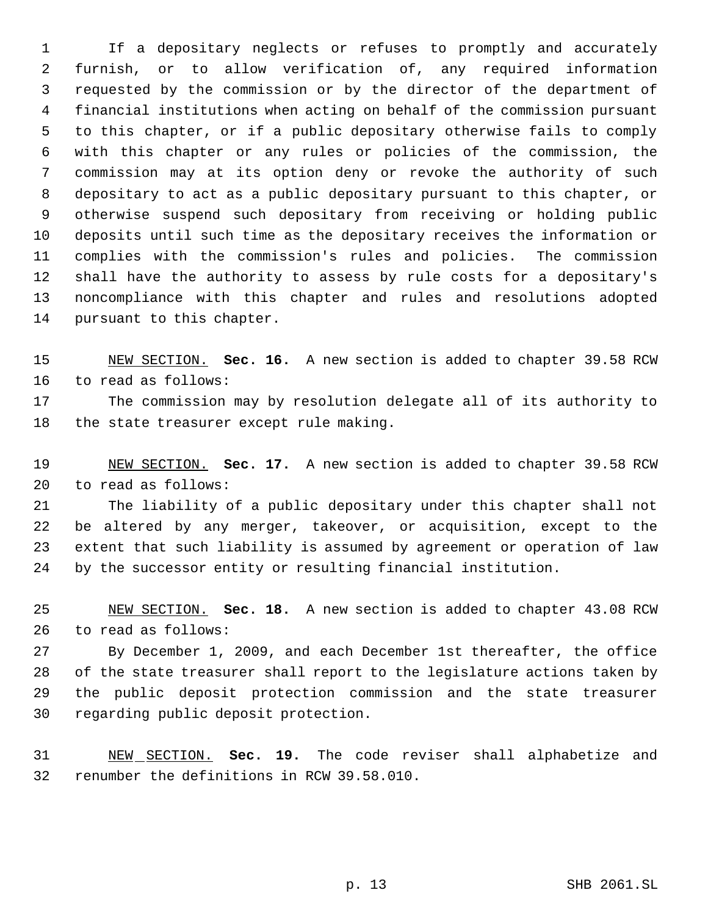If a depositary neglects or refuses to promptly and accurately furnish, or to allow verification of, any required information requested by the commission or by the director of the department of financial institutions when acting on behalf of the commission pursuant to this chapter, or if a public depositary otherwise fails to comply with this chapter or any rules or policies of the commission, the commission may at its option deny or revoke the authority of such depositary to act as a public depositary pursuant to this chapter, or otherwise suspend such depositary from receiving or holding public deposits until such time as the depositary receives the information or complies with the commission's rules and policies. The commission shall have the authority to assess by rule costs for a depositary's noncompliance with this chapter and rules and resolutions adopted pursuant to this chapter.

 NEW SECTION. **Sec. 16.** A new section is added to chapter 39.58 RCW to read as follows:

 The commission may by resolution delegate all of its authority to the state treasurer except rule making.

 NEW SECTION. **Sec. 17.** A new section is added to chapter 39.58 RCW to read as follows:

 The liability of a public depositary under this chapter shall not be altered by any merger, takeover, or acquisition, except to the extent that such liability is assumed by agreement or operation of law by the successor entity or resulting financial institution.

 NEW SECTION. **Sec. 18.** A new section is added to chapter 43.08 RCW to read as follows:

 By December 1, 2009, and each December 1st thereafter, the office of the state treasurer shall report to the legislature actions taken by the public deposit protection commission and the state treasurer regarding public deposit protection.

 NEW SECTION. **Sec. 19.** The code reviser shall alphabetize and renumber the definitions in RCW 39.58.010.